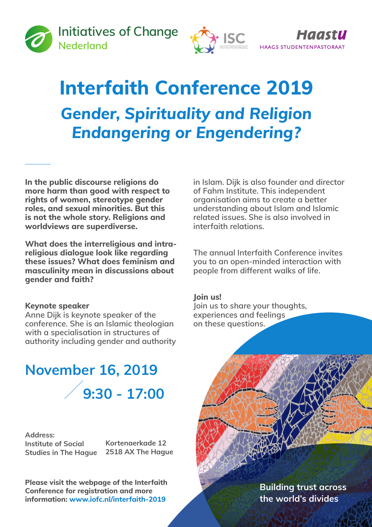



# **Interfaith Conference 2019** *Gender, Spirituality and Religion Endangering or Engendering?*

**In the public discourse religions do more harm than good with respect to rights of women, stereotype gender roles, and sexual minorities. But this is not the whole story. Religions and worldviews are superdiverse.**

**What does the interreligious and intrareligious dialogue look like regarding these issues? What does feminism and masculinity mean in discussions about gender and faith?**

#### **Keynote speaker**

**Anne Dijk is keynote speaker of the conference. She is an Islamic theologian with a specialisation in structures of authority including gender and authority** 

## **November 16, 2019 9:30 - 17:00**

**Address: Institute of Social Studies in The Hague**

**Kortenaerkade 12 2518 AX The Hague**

**Please visit the webpage of the Interfaith Conference for registration and more information: www.iofc.nl/interfaith-2019**

**in Islam. Dijk is also founder and director of Fahm Institute. This independent organisation aims to create a better understanding about Islam and Islamic related issues. She is also involved in interfaith relations.**

**The annual Interfaith Conference invites you to an open-minded interaction with people from different walks of life.**

**Join us!**

**Join us to share your thoughts, experiences and feelings on these questions.**

> **Building trust across the world's divides**